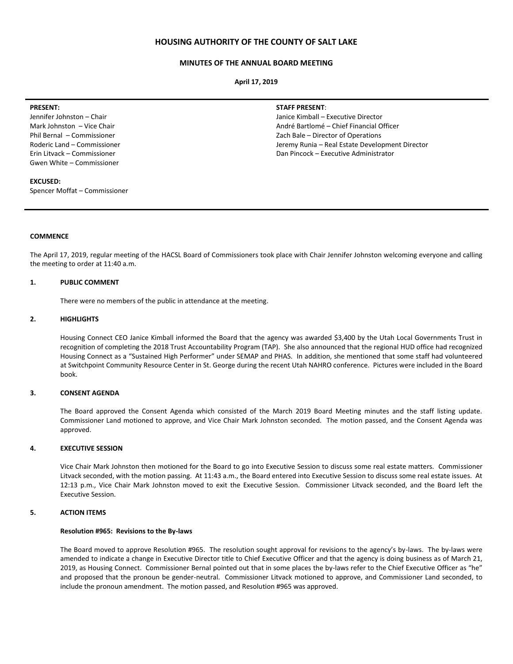## **HOUSING AUTHORITY OF THE COUNTY OF SALT LAKE**

#### **MINUTES OF THE ANNUAL BOARD MEETING**

**April 17, 2019**

#### **PRESENT:**

Jennifer Johnston – Chair Mark Johnston – Vice Chair Phil Bernal – Commissioner Roderic Land – Commissioner Erin Litvack – Commissioner Gwen White – Commissioner

#### **EXCUSED:**

Spencer Moffat – Commissioner

#### **STAFF PRESENT**:

Janice Kimball – Executive Director André Bartlomé – Chief Financial Officer Zach Bale – Director of Operations Jeremy Runia – Real Estate Development Director Dan Pincock – Executive Administrator

#### **COMMENCE**

The April 17, 2019, regular meeting of the HACSL Board of Commissioners took place with Chair Jennifer Johnston welcoming everyone and calling the meeting to order at 11:40 a.m.

## **1. PUBLIC COMMENT**

There were no members of the public in attendance at the meeting.

#### **2. HIGHLIGHTS**

Housing Connect CEO Janice Kimball informed the Board that the agency was awarded \$3,400 by the Utah Local Governments Trust in recognition of completing the 2018 Trust Accountability Program (TAP). She also announced that the regional HUD office had recognized Housing Connect as a "Sustained High Performer" under SEMAP and PHAS. In addition, she mentioned that some staff had volunteered at Switchpoint Community Resource Center in St. George during the recent Utah NAHRO conference. Pictures were included in the Board book.

## **3. CONSENT AGENDA**

The Board approved the Consent Agenda which consisted of the March 2019 Board Meeting minutes and the staff listing update. Commissioner Land motioned to approve, and Vice Chair Mark Johnston seconded. The motion passed, and the Consent Agenda was approved.

### **4. EXECUTIVE SESSION**

Vice Chair Mark Johnston then motioned for the Board to go into Executive Session to discuss some real estate matters. Commissioner Litvack seconded, with the motion passing. At 11:43 a.m., the Board entered into Executive Session to discuss some real estate issues. At 12:13 p.m., Vice Chair Mark Johnston moved to exit the Executive Session. Commissioner Litvack seconded, and the Board left the Executive Session.

## **5. ACTION ITEMS**

#### **Resolution #965: Revisions to the By-laws**

The Board moved to approve Resolution #965. The resolution sought approval for revisions to the agency's by-laws. The by-laws were amended to indicate a change in Executive Director title to Chief Executive Officer and that the agency is doing business as of March 21, 2019, as Housing Connect. Commissioner Bernal pointed out that in some places the by-laws refer to the Chief Executive Officer as "he" and proposed that the pronoun be gender-neutral. Commissioner Litvack motioned to approve, and Commissioner Land seconded, to include the pronoun amendment. The motion passed, and Resolution #965 was approved.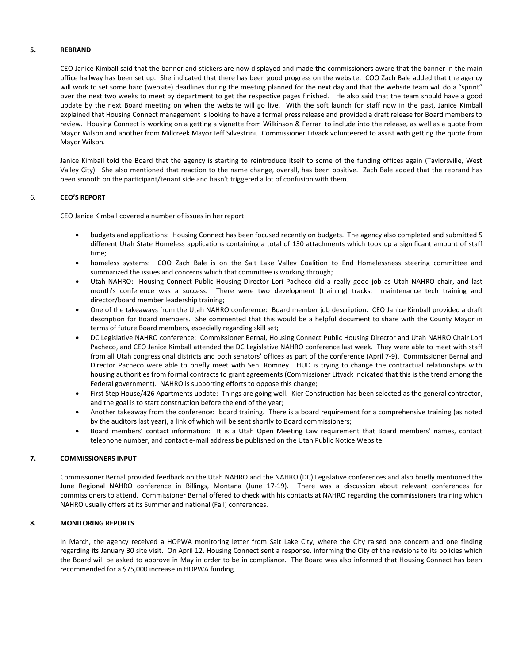#### **5. REBRAND**

CEO Janice Kimball said that the banner and stickers are now displayed and made the commissioners aware that the banner in the main office hallway has been set up. She indicated that there has been good progress on the website. COO Zach Bale added that the agency will work to set some hard (website) deadlines during the meeting planned for the next day and that the website team will do a "sprint" over the next two weeks to meet by department to get the respective pages finished. He also said that the team should have a good update by the next Board meeting on when the website will go live. With the soft launch for staff now in the past, Janice Kimball explained that Housing Connect management is looking to have a formal press release and provided a draft release for Board members to review. Housing Connect is working on a getting a vignette from Wilkinson & Ferrari to include into the release, as well as a quote from Mayor Wilson and another from Millcreek Mayor Jeff Silvestrini. Commissioner Litvack volunteered to assist with getting the quote from Mayor Wilson.

Janice Kimball told the Board that the agency is starting to reintroduce itself to some of the funding offices again (Taylorsville, West Valley City). She also mentioned that reaction to the name change, overall, has been positive. Zach Bale added that the rebrand has been smooth on the participant/tenant side and hasn't triggered a lot of confusion with them.

### 6. **CEO'S REPORT**

CEO Janice Kimball covered a number of issues in her report:

- budgets and applications: Housing Connect has been focused recently on budgets. The agency also completed and submitted 5 different Utah State Homeless applications containing a total of 130 attachments which took up a significant amount of staff time;
- homeless systems: COO Zach Bale is on the Salt Lake Valley Coalition to End Homelessness steering committee and summarized the issues and concerns which that committee is working through;
- Utah NAHRO: Housing Connect Public Housing Director Lori Pacheco did a really good job as Utah NAHRO chair, and last month's conference was a success. There were two development (training) tracks: maintenance tech training and director/board member leadership training;
- One of the takeaways from the Utah NAHRO conference: Board member job description. CEO Janice Kimball provided a draft description for Board members. She commented that this would be a helpful document to share with the County Mayor in terms of future Board members, especially regarding skill set;
- DC Legislative NAHRO conference: Commissioner Bernal, Housing Connect Public Housing Director and Utah NAHRO Chair Lori Pacheco, and CEO Janice Kimball attended the DC Legislative NAHRO conference last week. They were able to meet with staff from all Utah congressional districts and both senators' offices as part of the conference (April 7-9). Commissioner Bernal and Director Pacheco were able to briefly meet with Sen. Romney. HUD is trying to change the contractual relationships with housing authorities from formal contracts to grant agreements (Commissioner Litvack indicated that this is the trend among the Federal government). NAHRO is supporting efforts to oppose this change;
- First Step House/426 Apartments update: Things are going well. Kier Construction has been selected as the general contractor, and the goal is to start construction before the end of the year;
- Another takeaway from the conference: board training. There is a board requirement for a comprehensive training (as noted by the auditors last year), a link of which will be sent shortly to Board commissioners;
- Board members' contact information: It is a Utah Open Meeting Law requirement that Board members' names, contact telephone number, and contact e-mail address be published on the Utah Public Notice Website.

## **7. COMMISSIONERS INPUT**

Commissioner Bernal provided feedback on the Utah NAHRO and the NAHRO (DC) Legislative conferences and also briefly mentioned the June Regional NAHRO conference in Billings, Montana (June 17-19). There was a discussion about relevant conferences for commissioners to attend. Commissioner Bernal offered to check with his contacts at NAHRO regarding the commissioners training which NAHRO usually offers at its Summer and national (Fall) conferences.

## **8. MONITORING REPORTS**

In March, the agency received a HOPWA monitoring letter from Salt Lake City, where the City raised one concern and one finding regarding its January 30 site visit. On April 12, Housing Connect sent a response, informing the City of the revisions to its policies which the Board will be asked to approve in May in order to be in compliance. The Board was also informed that Housing Connect has been recommended for a \$75,000 increase in HOPWA funding.